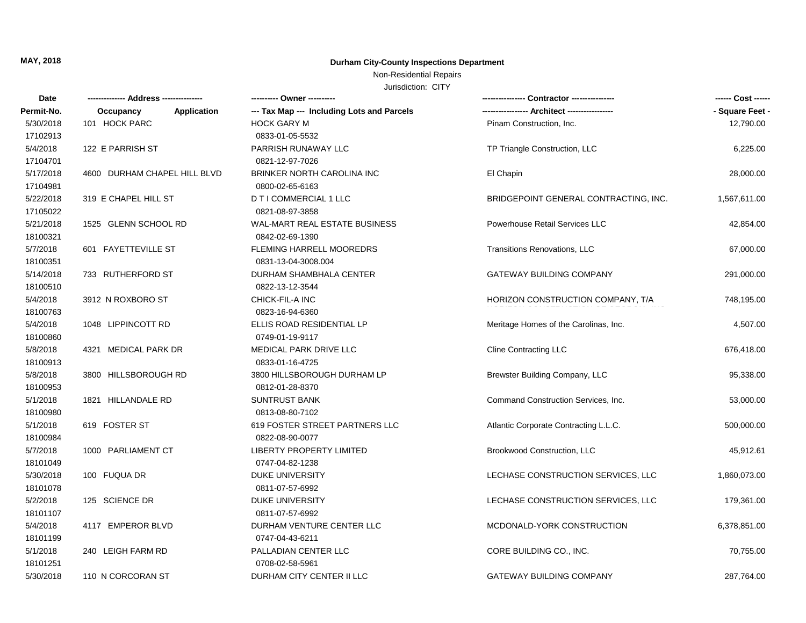### Non-Residential Repairs

| Date       |                              | ---------- Owner ----------                |                                       | ------ Cost ------ |
|------------|------------------------------|--------------------------------------------|---------------------------------------|--------------------|
| Permit-No. | Application<br>Occupancy     | --- Tax Map --- Including Lots and Parcels |                                       | - Square Feet -    |
| 5/30/2018  | 101 HOCK PARC                | <b>HOCK GARY M</b>                         | Pinam Construction, Inc.              | 12,790.00          |
| 17102913   |                              | 0833-01-05-5532                            |                                       |                    |
| 5/4/2018   | 122 E PARRISH ST             | PARRISH RUNAWAY LLC                        | TP Triangle Construction, LLC         | 6,225.00           |
| 17104701   |                              | 0821-12-97-7026                            |                                       |                    |
| 5/17/2018  | 4600 DURHAM CHAPEL HILL BLVD | BRINKER NORTH CAROLINA INC                 | El Chapin                             | 28,000.00          |
| 17104981   |                              | 0800-02-65-6163                            |                                       |                    |
| 5/22/2018  | 319 E CHAPEL HILL ST         | D T I COMMERCIAL 1 LLC                     | BRIDGEPOINT GENERAL CONTRACTING, INC. | 1,567,611.00       |
| 17105022   |                              | 0821-08-97-3858                            |                                       |                    |
| 5/21/2018  | 1525 GLENN SCHOOL RD         | WAL-MART REAL ESTATE BUSINESS              | Powerhouse Retail Services LLC        | 42,854.00          |
| 18100321   |                              | 0842-02-69-1390                            |                                       |                    |
| 5/7/2018   | 601 FAYETTEVILLE ST          | <b>FLEMING HARRELL MOOREDRS</b>            | Transitions Renovations, LLC          | 67,000.00          |
| 18100351   |                              | 0831-13-04-3008.004                        |                                       |                    |
| 5/14/2018  | 733 RUTHERFORD ST            | DURHAM SHAMBHALA CENTER                    | <b>GATEWAY BUILDING COMPANY</b>       | 291,000.00         |
| 18100510   |                              | 0822-13-12-3544                            |                                       |                    |
| 5/4/2018   | 3912 N ROXBORO ST            | CHICK-FIL-A INC                            | HORIZON CONSTRUCTION COMPANY, T/A     | 748,195.00         |
| 18100763   |                              | 0823-16-94-6360                            |                                       |                    |
| 5/4/2018   | 1048 LIPPINCOTT RD           | ELLIS ROAD RESIDENTIAL LP                  | Meritage Homes of the Carolinas, Inc. | 4,507.00           |
| 18100860   |                              | 0749-01-19-9117                            |                                       |                    |
| 5/8/2018   | 4321 MEDICAL PARK DR         | MEDICAL PARK DRIVE LLC                     | <b>Cline Contracting LLC</b>          | 676,418.00         |
| 18100913   |                              | 0833-01-16-4725                            |                                       |                    |
| 5/8/2018   | 3800 HILLSBOROUGH RD         | 3800 HILLSBOROUGH DURHAM LP                | Brewster Building Company, LLC        | 95,338.00          |
| 18100953   |                              | 0812-01-28-8370                            |                                       |                    |
| 5/1/2018   | 1821 HILLANDALE RD           | <b>SUNTRUST BANK</b>                       | Command Construction Services, Inc.   | 53,000.00          |
| 18100980   |                              | 0813-08-80-7102                            |                                       |                    |
| 5/1/2018   | 619 FOSTER ST                | 619 FOSTER STREET PARTNERS LLC             | Atlantic Corporate Contracting L.L.C. | 500,000.00         |
| 18100984   |                              | 0822-08-90-0077                            |                                       |                    |
| 5/7/2018   | 1000 PARLIAMENT CT           | <b>LIBERTY PROPERTY LIMITED</b>            | Brookwood Construction, LLC           | 45,912.61          |
| 18101049   |                              | 0747-04-82-1238                            |                                       |                    |
| 5/30/2018  | 100 FUQUA DR                 | <b>DUKE UNIVERSITY</b>                     | LECHASE CONSTRUCTION SERVICES, LLC    | 1,860,073.00       |
| 18101078   |                              | 0811-07-57-6992                            |                                       |                    |
| 5/2/2018   | 125 SCIENCE DR               | <b>DUKE UNIVERSITY</b>                     | LECHASE CONSTRUCTION SERVICES, LLC    | 179,361.00         |
| 18101107   |                              | 0811-07-57-6992                            |                                       |                    |
| 5/4/2018   | 4117 EMPEROR BLVD            | DURHAM VENTURE CENTER LLC                  | MCDONALD-YORK CONSTRUCTION            | 6,378,851.00       |
| 18101199   |                              | 0747-04-43-6211                            |                                       |                    |
| 5/1/2018   | 240 LEIGH FARM RD            | PALLADIAN CENTER LLC                       | CORE BUILDING CO., INC.               | 70,755.00          |
| 18101251   |                              | 0708-02-58-5961                            |                                       |                    |
| 5/30/2018  | 110 N CORCORAN ST            | DURHAM CITY CENTER II LLC                  | <b>GATEWAY BUILDING COMPANY</b>       | 287,764.00         |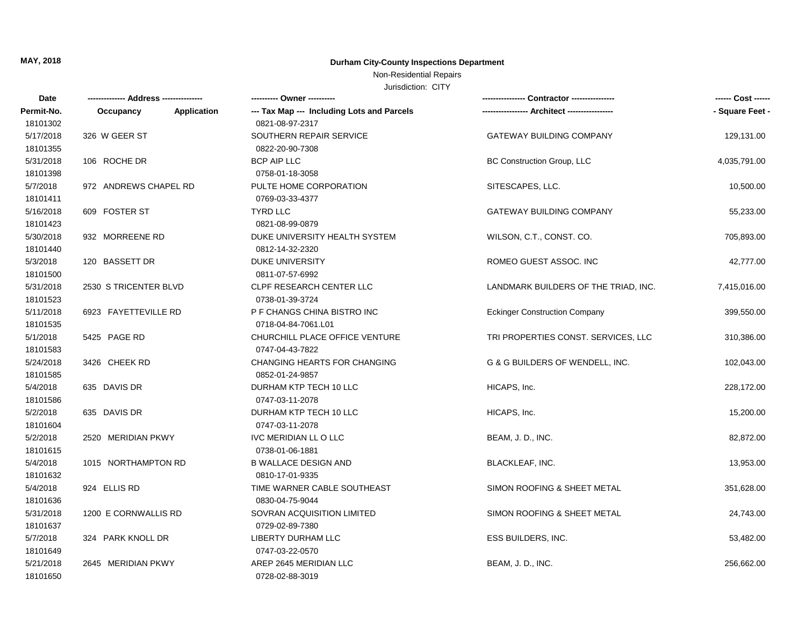### Non-Residential Repairs

| Date       |                          | ---------- Owner ----------                |                                      | ------ Cost ------ |
|------------|--------------------------|--------------------------------------------|--------------------------------------|--------------------|
| Permit-No. | Occupancy<br>Application | --- Tax Map --- Including Lots and Parcels |                                      | - Square Feet -    |
| 18101302   |                          | 0821-08-97-2317                            |                                      |                    |
| 5/17/2018  | 326 W GEER ST            | SOUTHERN REPAIR SERVICE                    | <b>GATEWAY BUILDING COMPANY</b>      | 129,131.00         |
| 18101355   |                          | 0822-20-90-7308                            |                                      |                    |
| 5/31/2018  | 106 ROCHE DR             | <b>BCP AIP LLC</b>                         | <b>BC Construction Group, LLC</b>    | 4,035,791.00       |
| 18101398   |                          | 0758-01-18-3058                            |                                      |                    |
| 5/7/2018   | 972 ANDREWS CHAPEL RD    | PULTE HOME CORPORATION                     | SITESCAPES, LLC.                     | 10,500.00          |
| 18101411   |                          | 0769-03-33-4377                            |                                      |                    |
| 5/16/2018  | 609 FOSTER ST            | TYRD LLC                                   | GATEWAY BUILDING COMPANY             | 55,233.00          |
| 18101423   |                          | 0821-08-99-0879                            |                                      |                    |
| 5/30/2018  | 932 MORREENE RD          | DUKE UNIVERSITY HEALTH SYSTEM              | WILSON, C.T., CONST. CO.             | 705,893.00         |
| 18101440   |                          | 0812-14-32-2320                            |                                      |                    |
| 5/3/2018   | 120 BASSETT DR           | <b>DUKE UNIVERSITY</b>                     | ROMEO GUEST ASSOC. INC               | 42,777.00          |
| 18101500   |                          | 0811-07-57-6992                            |                                      |                    |
| 5/31/2018  | 2530 S TRICENTER BLVD    | CLPF RESEARCH CENTER LLC                   | LANDMARK BUILDERS OF THE TRIAD, INC. | 7,415,016.00       |
| 18101523   |                          | 0738-01-39-3724                            |                                      |                    |
| 5/11/2018  | 6923 FAYETTEVILLE RD     | P F CHANGS CHINA BISTRO INC                | <b>Eckinger Construction Company</b> | 399,550.00         |
| 18101535   |                          | 0718-04-84-7061.L01                        |                                      |                    |
| 5/1/2018   | 5425 PAGE RD             | CHURCHILL PLACE OFFICE VENTURE             | TRI PROPERTIES CONST. SERVICES, LLC  | 310,386.00         |
| 18101583   |                          | 0747-04-43-7822                            |                                      |                    |
| 5/24/2018  | 3426 CHEEK RD            | <b>CHANGING HEARTS FOR CHANGING</b>        | G & G BUILDERS OF WENDELL, INC.      | 102,043.00         |
| 18101585   |                          | 0852-01-24-9857                            |                                      |                    |
| 5/4/2018   | 635 DAVIS DR             | DURHAM KTP TECH 10 LLC                     | HICAPS, Inc.                         | 228,172.00         |
| 18101586   |                          | 0747-03-11-2078                            |                                      |                    |
| 5/2/2018   | 635 DAVIS DR             | DURHAM KTP TECH 10 LLC                     | HICAPS, Inc.                         | 15,200.00          |
| 18101604   |                          | 0747-03-11-2078                            |                                      |                    |
| 5/2/2018   | 2520 MERIDIAN PKWY       | IVC MERIDIAN LL O LLC                      | BEAM, J. D., INC.                    | 82,872.00          |
| 18101615   |                          | 0738-01-06-1881                            |                                      |                    |
| 5/4/2018   | 1015 NORTHAMPTON RD      | <b>B WALLACE DESIGN AND</b>                | <b>BLACKLEAF, INC.</b>               | 13,953.00          |
| 18101632   |                          | 0810-17-01-9335                            |                                      |                    |
| 5/4/2018   | 924 ELLIS RD             | TIME WARNER CABLE SOUTHEAST                | SIMON ROOFING & SHEET METAL          | 351,628.00         |
| 18101636   |                          | 0830-04-75-9044                            |                                      |                    |
| 5/31/2018  | 1200 E CORNWALLIS RD     | <b>SOVRAN ACQUISITION LIMITED</b>          | SIMON ROOFING & SHEET METAL          | 24,743.00          |
| 18101637   |                          | 0729-02-89-7380                            |                                      |                    |
| 5/7/2018   | 324 PARK KNOLL DR        | LIBERTY DURHAM LLC                         | ESS BUILDERS, INC.                   | 53,482.00          |
| 18101649   |                          | 0747-03-22-0570                            |                                      |                    |
| 5/21/2018  | 2645 MERIDIAN PKWY       | AREP 2645 MERIDIAN LLC                     | BEAM, J. D., INC.                    | 256,662.00         |
| 18101650   |                          | 0728-02-88-3019                            |                                      |                    |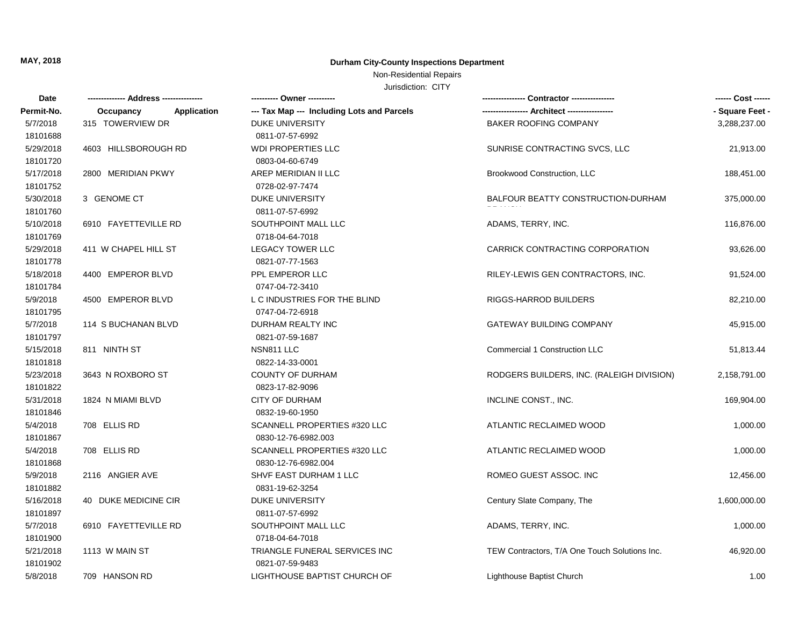Non-Residential Repairs

| Date       |                          | --------- Owner ----------                 |                                               | ------ Cost ------ |
|------------|--------------------------|--------------------------------------------|-----------------------------------------------|--------------------|
| Permit-No. | Occupancy<br>Application | --- Tax Map --- Including Lots and Parcels |                                               | - Square Feet -    |
| 5/7/2018   | 315 TOWERVIEW DR         | <b>DUKE UNIVERSITY</b>                     | BAKER ROOFING COMPANY                         | 3,288,237.00       |
| 18101688   |                          | 0811-07-57-6992                            |                                               |                    |
| 5/29/2018  | 4603 HILLSBOROUGH RD     | <b>WDI PROPERTIES LLC</b>                  | SUNRISE CONTRACTING SVCS, LLC                 | 21,913.00          |
| 18101720   |                          | 0803-04-60-6749                            |                                               |                    |
| 5/17/2018  | 2800 MERIDIAN PKWY       | AREP MERIDIAN II LLC                       | Brookwood Construction, LLC                   | 188,451.00         |
| 18101752   |                          | 0728-02-97-7474                            |                                               |                    |
| 5/30/2018  | 3 GENOME CT              | <b>DUKE UNIVERSITY</b>                     | BALFOUR BEATTY CONSTRUCTION-DURHAM            | 375,000.00         |
| 18101760   |                          | 0811-07-57-6992                            |                                               |                    |
| 5/10/2018  | 6910 FAYETTEVILLE RD     | SOUTHPOINT MALL LLC                        | ADAMS, TERRY, INC.                            | 116,876.00         |
| 18101769   |                          | 0718-04-64-7018                            |                                               |                    |
| 5/29/2018  | 411 W CHAPEL HILL ST     | <b>LEGACY TOWER LLC</b>                    | CARRICK CONTRACTING CORPORATION               | 93,626.00          |
| 18101778   |                          | 0821-07-77-1563                            |                                               |                    |
| 5/18/2018  | 4400 EMPEROR BLVD        | PPL EMPEROR LLC                            | RILEY-LEWIS GEN CONTRACTORS, INC.             | 91,524.00          |
| 18101784   |                          | 0747-04-72-3410                            |                                               |                    |
| 5/9/2018   | 4500 EMPEROR BLVD        | L C INDUSTRIES FOR THE BLIND               | RIGGS-HARROD BUILDERS                         | 82,210.00          |
| 18101795   |                          | 0747-04-72-6918                            |                                               |                    |
| 5/7/2018   | 114 S BUCHANAN BLVD      | DURHAM REALTY INC                          | <b>GATEWAY BUILDING COMPANY</b>               | 45,915.00          |
| 18101797   |                          | 0821-07-59-1687                            |                                               |                    |
| 5/15/2018  | 811 NINTH ST             | NSN811 LLC                                 | <b>Commercial 1 Construction LLC</b>          | 51,813.44          |
| 18101818   |                          | 0822-14-33-0001                            |                                               |                    |
| 5/23/2018  | 3643 N ROXBORO ST        | <b>COUNTY OF DURHAM</b>                    | RODGERS BUILDERS, INC. (RALEIGH DIVISION)     | 2,158,791.00       |
| 18101822   |                          | 0823-17-82-9096                            |                                               |                    |
| 5/31/2018  | 1824 N MIAMI BLVD        | <b>CITY OF DURHAM</b>                      | INCLINE CONST., INC.                          | 169,904.00         |
| 18101846   |                          | 0832-19-60-1950                            |                                               |                    |
| 5/4/2018   | 708 ELLIS RD             | SCANNELL PROPERTIES #320 LLC               | ATLANTIC RECLAIMED WOOD                       | 1,000.00           |
| 18101867   |                          | 0830-12-76-6982.003                        |                                               |                    |
| 5/4/2018   | 708 ELLIS RD             | SCANNELL PROPERTIES #320 LLC               | ATLANTIC RECLAIMED WOOD                       | 1,000.00           |
| 18101868   |                          | 0830-12-76-6982.004                        |                                               |                    |
| 5/9/2018   | 2116 ANGIER AVE          | SHVF EAST DURHAM 1 LLC                     | ROMEO GUEST ASSOC. INC                        | 12,456.00          |
| 18101882   |                          | 0831-19-62-3254                            |                                               |                    |
| 5/16/2018  | 40 DUKE MEDICINE CIR     | <b>DUKE UNIVERSITY</b>                     | Century Slate Company, The                    | 1,600,000.00       |
| 18101897   |                          | 0811-07-57-6992                            |                                               |                    |
| 5/7/2018   | 6910 FAYETTEVILLE RD     | SOUTHPOINT MALL LLC                        | ADAMS, TERRY, INC.                            | 1,000.00           |
| 18101900   |                          | 0718-04-64-7018                            |                                               |                    |
| 5/21/2018  | 1113 W MAIN ST           | TRIANGLE FUNERAL SERVICES INC              | TEW Contractors, T/A One Touch Solutions Inc. | 46,920.00          |
| 18101902   |                          | 0821-07-59-9483                            |                                               |                    |
| 5/8/2018   | 709 HANSON RD            | LIGHTHOUSE BAPTIST CHURCH OF               | Lighthouse Baptist Church                     | 1.00               |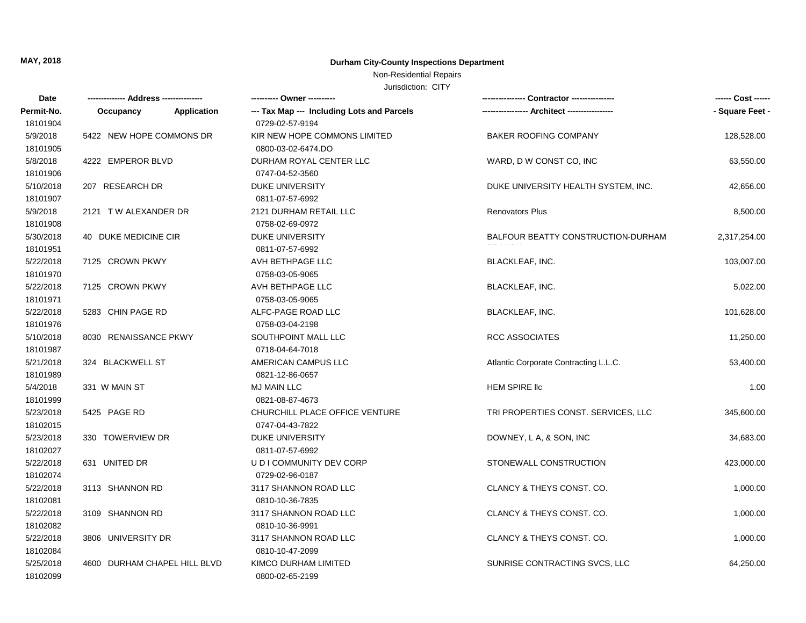### Non-Residential Repairs

| Date       |                              |             | ---------- Owner ----------                | Contractor ---------------            | ------ Cost ------ |
|------------|------------------------------|-------------|--------------------------------------------|---------------------------------------|--------------------|
| Permit-No. | Occupancy                    | Application | --- Tax Map --- Including Lots and Parcels |                                       | - Square Feet -    |
| 18101904   |                              |             | 0729-02-57-9194                            |                                       |                    |
| 5/9/2018   | 5422 NEW HOPE COMMONS DR     |             | KIR NEW HOPE COMMONS LIMITED               | BAKER ROOFING COMPANY                 | 128,528.00         |
| 18101905   |                              |             | 0800-03-02-6474.DO                         |                                       |                    |
| 5/8/2018   | 4222 EMPEROR BLVD            |             | DURHAM ROYAL CENTER LLC                    | WARD, D W CONST CO, INC               | 63,550.00          |
| 18101906   |                              |             | 0747-04-52-3560                            |                                       |                    |
| 5/10/2018  | 207 RESEARCH DR              |             | <b>DUKE UNIVERSITY</b>                     | DUKE UNIVERSITY HEALTH SYSTEM, INC.   | 42,656.00          |
| 18101907   |                              |             | 0811-07-57-6992                            |                                       |                    |
| 5/9/2018   | 2121 TW ALEXANDER DR         |             | 2121 DURHAM RETAIL LLC                     | <b>Renovators Plus</b>                | 8,500.00           |
| 18101908   |                              |             | 0758-02-69-0972                            |                                       |                    |
| 5/30/2018  | 40 DUKE MEDICINE CIR         |             | <b>DUKE UNIVERSITY</b>                     | BALFOUR BEATTY CONSTRUCTION-DURHAM    | 2,317,254.00       |
| 18101951   |                              |             | 0811-07-57-6992                            |                                       |                    |
| 5/22/2018  | 7125 CROWN PKWY              |             | AVH BETHPAGE LLC                           | <b>BLACKLEAF, INC.</b>                | 103,007.00         |
| 18101970   |                              |             | 0758-03-05-9065                            |                                       |                    |
| 5/22/2018  | 7125 CROWN PKWY              |             | AVH BETHPAGE LLC                           | <b>BLACKLEAF, INC.</b>                | 5,022.00           |
| 18101971   |                              |             | 0758-03-05-9065                            |                                       |                    |
| 5/22/2018  | 5283 CHIN PAGE RD            |             | ALFC-PAGE ROAD LLC                         | <b>BLACKLEAF, INC.</b>                | 101,628.00         |
| 18101976   |                              |             | 0758-03-04-2198                            |                                       |                    |
| 5/10/2018  | 8030 RENAISSANCE PKWY        |             | SOUTHPOINT MALL LLC                        | <b>RCC ASSOCIATES</b>                 | 11,250.00          |
| 18101987   |                              |             | 0718-04-64-7018                            |                                       |                    |
| 5/21/2018  | 324 BLACKWELL ST             |             | AMERICAN CAMPUS LLC                        | Atlantic Corporate Contracting L.L.C. | 53,400.00          |
| 18101989   |                              |             | 0821-12-86-0657                            |                                       |                    |
| 5/4/2018   | 331 W MAIN ST                |             | <b>MJ MAIN LLC</b>                         | <b>HEM SPIRE IIC</b>                  | 1.00               |
| 18101999   |                              |             | 0821-08-87-4673                            |                                       |                    |
| 5/23/2018  | 5425 PAGE RD                 |             | CHURCHILL PLACE OFFICE VENTURE             | TRI PROPERTIES CONST. SERVICES, LLC   | 345,600.00         |
| 18102015   |                              |             | 0747-04-43-7822                            |                                       |                    |
| 5/23/2018  | 330 TOWERVIEW DR             |             | DUKE UNIVERSITY                            | DOWNEY, L A, & SON, INC               | 34,683.00          |
| 18102027   |                              |             | 0811-07-57-6992                            |                                       |                    |
| 5/22/2018  | 631 UNITED DR                |             | U D I COMMUNITY DEV CORP                   | STONEWALL CONSTRUCTION                | 423,000.00         |
| 18102074   |                              |             | 0729-02-96-0187                            |                                       |                    |
| 5/22/2018  | 3113 SHANNON RD              |             | 3117 SHANNON ROAD LLC                      | CLANCY & THEYS CONST. CO.             | 1,000.00           |
| 18102081   |                              |             | 0810-10-36-7835                            |                                       |                    |
| 5/22/2018  | 3109 SHANNON RD              |             | 3117 SHANNON ROAD LLC                      | CLANCY & THEYS CONST. CO.             | 1,000.00           |
| 18102082   |                              |             | 0810-10-36-9991                            |                                       |                    |
| 5/22/2018  | 3806 UNIVERSITY DR           |             | 3117 SHANNON ROAD LLC                      | CLANCY & THEYS CONST. CO.             | 1,000.00           |
| 18102084   |                              |             | 0810-10-47-2099                            |                                       |                    |
| 5/25/2018  | 4600 DURHAM CHAPEL HILL BLVD |             | KIMCO DURHAM LIMITED                       | SUNRISE CONTRACTING SVCS, LLC         | 64,250.00          |
| 18102099   |                              |             | 0800-02-65-2199                            |                                       |                    |